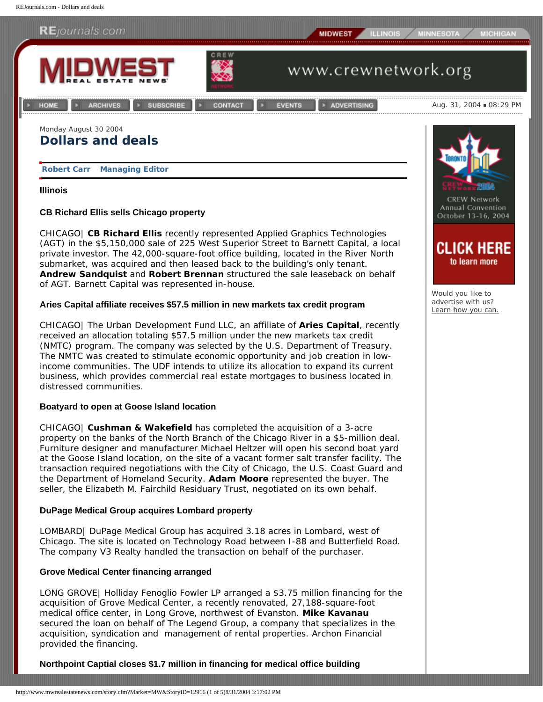

**[Robert Carr](mailto:rcarr@rejournals.com) Managing Editor**

## **Illinois**

# **CB Richard Ellis sells Chicago property**

CHICAGO| **CB Richard Ellis** recently represented Applied Graphics Technologies (AGT) in the \$5,150,000 sale of 225 West Superior Street to Barnett Capital, a local private investor. The 42,000-square-foot office building, located in the River North submarket, was acquired and then leased back to the building's only tenant. **Andrew Sandquist** and **Robert Brennan** structured the sale leaseback on behalf of AGT. Barnett Capital was represented in-house.

# **Aries Capital affiliate receives \$57.5 million in new markets tax credit program**

CHICAGO| The Urban Development Fund LLC, an affiliate of **Aries Capital**, recently received an allocation totaling \$57.5 million under the new markets tax credit (NMTC) program. The company was selected by the U.S. Department of Treasury. The NMTC was created to stimulate economic opportunity and job creation in lowincome communities. The UDF intends to utilize its allocation to expand its current business, which provides commercial real estate mortgages to business located in distressed communities.

# **Boatyard to open at Goose Island location**

CHICAGO| **Cushman & Wakefield** has completed the acquisition of a 3-acre property on the banks of the North Branch of the Chicago River in a \$5-million deal. Furniture designer and manufacturer Michael Heltzer will open his second boat yard at the Goose Island location, on the site of a vacant former salt transfer facility. The transaction required negotiations with the City of Chicago, the U.S. Coast Guard and the Department of Homeland Security. **Adam Moore** represented the buyer. The seller, the Elizabeth M. Fairchild Residuary Trust, negotiated on its own behalf.

# **DuPage Medical Group acquires Lombard property**

LOMBARD| DuPage Medical Group has acquired 3.18 acres in Lombard, west of Chicago. The site is located on Technology Road between I-88 and Butterfield Road. The company V3 Realty handled the transaction on behalf of the purchaser.

# **Grove Medical Center financing arranged**

LONG GROVE| Holliday Fenoglio Fowler LP arranged a \$3.75 million financing for the acquisition of Grove Medical Center, a recently renovated, 27,188-square-foot medical office center, in Long Grove, northwest of Evanston. **Mike Kavanau**  secured the loan on behalf of The Legend Group, a company that specializes in the acquisition, syndication and management of rental properties. Archon Financial provided the financing.

**Northpoint Captial closes \$1.7 million in financing for medical office building**



Would you like to advertise with us? [Learn how you can.](http://www.mwrealestatenews.com/advertising.cfm?Market=MW)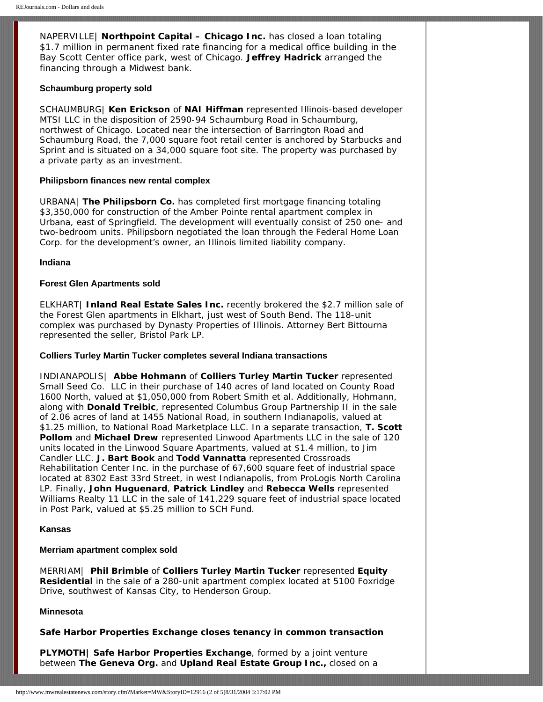NAPERVILLE| **Northpoint Capital – Chicago Inc.** has closed a loan totaling \$1.7 million in permanent fixed rate financing for a medical office building in the Bay Scott Center office park, west of Chicago. **Jeffrey Hadrick** arranged the financing through a Midwest bank.

#### **Schaumburg property sold**

SCHAUMBURG| **Ken Erickson** of **NAI Hiffman** represented Illinois-based developer MTSI LLC in the disposition of 2590-94 Schaumburg Road in Schaumburg, northwest of Chicago. Located near the intersection of Barrington Road and Schaumburg Road, the 7,000 square foot retail center is anchored by Starbucks and Sprint and is situated on a 34,000 square foot site. The property was purchased by a private party as an investment.

## **Philipsborn finances new rental complex**

URBANA| **The Philipsborn Co.** has completed first mortgage financing totaling \$3,350,000 for construction of the Amber Pointe rental apartment complex in Urbana, east of Springfield. The development will eventually consist of 250 one- and two-bedroom units. Philipsborn negotiated the loan through the Federal Home Loan Corp. for the development's owner, an Illinois limited liability company.

### **Indiana**

### **Forest Glen Apartments sold**

ELKHART| **Inland Real Estate Sales Inc.** recently brokered the \$2.7 million sale of the Forest Glen apartments in Elkhart, just west of South Bend. The 118-unit complex was purchased by Dynasty Properties of Illinois. Attorney Bert Bittourna represented the seller, Bristol Park LP.

## **Colliers Turley Martin Tucker completes several Indiana transactions**

INDIANAPOLIS| **Abbe Hohmann** of **Colliers Turley Martin Tucker** represented Small Seed Co. LLC in their purchase of 140 acres of land located on County Road 1600 North, valued at \$1,050,000 from Robert Smith et al. Additionally, Hohmann, along with **Donald Treibic**, represented Columbus Group Partnership II in the sale of 2.06 acres of land at 1455 National Road, in southern Indianapolis, valued at \$1.25 million, to National Road Marketplace LLC. In a separate transaction, **T. Scott Pollom** and **Michael Drew** represented Linwood Apartments LLC in the sale of 120 units located in the Linwood Square Apartments, valued at \$1.4 million, to Jim Candler LLC. **J. Bart Book** and **Todd Vannatta** represented Crossroads Rehabilitation Center Inc. in the purchase of 67,600 square feet of industrial space located at 8302 East 33rd Street, in west Indianapolis, from ProLogis North Carolina LP. Finally, **John Huguenard**, **Patrick Lindley** and **Rebecca Wells** represented Williams Realty 11 LLC in the sale of 141,229 square feet of industrial space located in Post Park, valued at \$5.25 million to SCH Fund.

#### **Kansas**

#### **Merriam apartment complex sold**

MERRIAM| **Phil Brimble** of **Colliers Turley Martin Tucker** represented **Equity Residential** in the sale of a 280-unit apartment complex located at 5100 Foxridge Drive, southwest of Kansas City, to Henderson Group.

## **Minnesota**

**Safe Harbor Properties Exchange closes tenancy in common transaction**

**PLYMOTH| Safe Harbor Properties Exchange**, formed by a joint venture between **The Geneva Org.** and **Upland Real Estate Group Inc.,** closed on a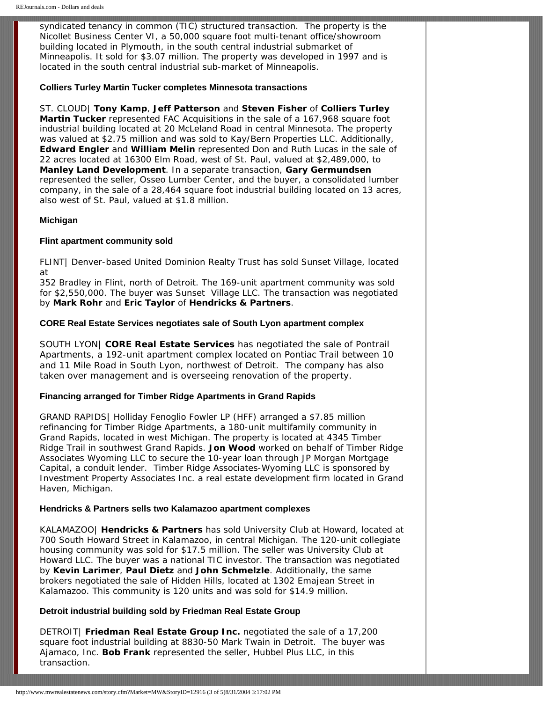syndicated tenancy in common (TIC) structured transaction. The property is the Nicollet Business Center VI, a 50,000 square foot multi-tenant office/showroom building located in Plymouth, in the south central industrial submarket of Minneapolis. It sold for \$3.07 million. The property was developed in 1997 and is located in the south central industrial sub-market of Minneapolis.

## **Colliers Turley Martin Tucker completes Minnesota transactions**

ST. CLOUD| **Tony Kamp**, **Jeff Patterson** and **Steven Fisher** of **Colliers Turley Martin Tucker** represented FAC Acquisitions in the sale of a 167,968 square foot industrial building located at 20 McLeland Road in central Minnesota. The property was valued at \$2.75 million and was sold to Kay/Bern Properties LLC. Additionally, **Edward Engler** and **William Melin** represented Don and Ruth Lucas in the sale of 22 acres located at 16300 Elm Road, west of St. Paul, valued at \$2,489,000, to **Manley Land Development**. In a separate transaction, **Gary Germundsen** represented the seller, Osseo Lumber Center, and the buyer, a consolidated lumber company, in the sale of a 28,464 square foot industrial building located on 13 acres, also west of St. Paul, valued at \$1.8 million.

## **Michigan**

## **Flint apartment community sold**

FLINT| Denver-based United Dominion Realty Trust has sold Sunset Village, located at

352 Bradley in Flint, north of Detroit. The 169-unit apartment community was sold for \$2,550,000. The buyer was Sunset Village LLC. The transaction was negotiated by **Mark Rohr** and **Eric Taylor** of **Hendricks & Partners**.

## **CORE Real Estate Services negotiates sale of South Lyon apartment complex**

SOUTH LYON| **CORE Real Estate Services** has negotiated the sale of Pontrail Apartments, a 192-unit apartment complex located on Pontiac Trail between 10 and 11 Mile Road in South Lyon, northwest of Detroit. The company has also taken over management and is overseeing renovation of the property.

## **Financing arranged for Timber Ridge Apartments in Grand Rapids**

GRAND RAPIDS| Holliday Fenoglio Fowler LP (HFF) arranged a \$7.85 million refinancing for Timber Ridge Apartments, a 180-unit multifamily community in Grand Rapids, located in west Michigan. The property is located at 4345 Timber Ridge Trail in southwest Grand Rapids. **Jon Wood** worked on behalf of Timber Ridge Associates Wyoming LLC to secure the 10-year loan through JP Morgan Mortgage Capital, a conduit lender. Timber Ridge Associates-Wyoming LLC is sponsored by Investment Property Associates Inc. a real estate development firm located in Grand Haven, Michigan.

### **Hendricks & Partners sells two Kalamazoo apartment complexes**

KALAMAZOO| **Hendricks & Partners** has sold University Club at Howard, located at 700 South Howard Street in Kalamazoo, in central Michigan. The 120-unit collegiate housing community was sold for \$17.5 million. The seller was University Club at Howard LLC. The buyer was a national TIC investor. The transaction was negotiated by **Kevin Larimer**, **Paul Dietz** and **John Schmelzle**. Additionally, the same brokers negotiated the sale of Hidden Hills, located at 1302 Emajean Street in Kalamazoo. This community is 120 units and was sold for \$14.9 million.

## **Detroit industrial building sold by Friedman Real Estate Group**

DETROIT| **Friedman Real Estate Group Inc.** negotiated the sale of a 17,200 square foot industrial building at 8830-50 Mark Twain in Detroit. The buyer was Ajamaco, Inc. **Bob Frank** represented the seller, Hubbel Plus LLC, in this transaction.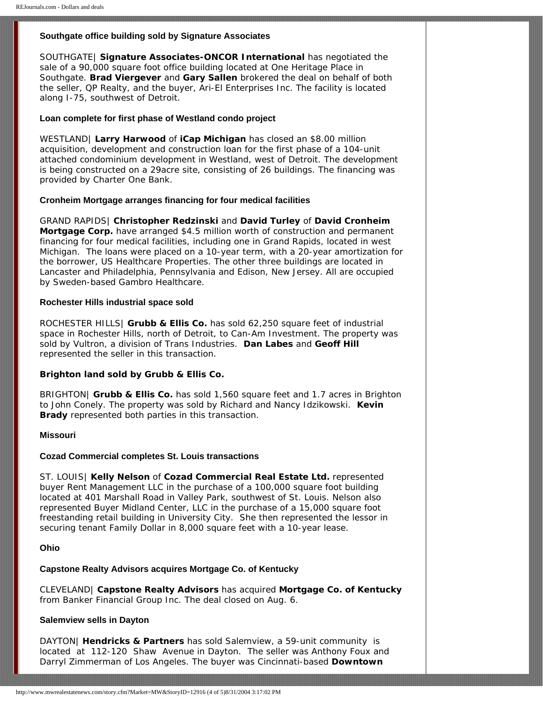## **Southgate office building sold by Signature Associates**

SOUTHGATE| **Signature Associates-ONCOR International** has negotiated the sale of a 90,000 square foot office building located at One Heritage Place in Southgate. **Brad Viergever** and **Gary Sallen** brokered the deal on behalf of both the seller, QP Realty, and the buyer, Ari-El Enterprises Inc. The facility is located along I-75, southwest of Detroit.

#### **Loan complete for first phase of Westland condo project**

WESTLAND| **Larry Harwood** of **iCap Michigan** has closed an \$8.00 million acquisition, development and construction loan for the first phase of a 104-unit attached condominium development in Westland, west of Detroit. The development is being constructed on a 29acre site, consisting of 26 buildings. The financing was provided by Charter One Bank.

#### **Cronheim Mortgage arranges financing for four medical facilities**

GRAND RAPIDS| **Christopher Redzinski** and **David Turley** of **David Cronheim Mortgage Corp.** have arranged \$4.5 million worth of construction and permanent financing for four medical facilities, including one in Grand Rapids, located in west Michigan. The loans were placed on a 10-year term, with a 20-year amortization for the borrower, US Healthcare Properties. The other three buildings are located in Lancaster and Philadelphia, Pennsylvania and Edison, New Jersey. All are occupied by Sweden-based Gambro Healthcare.

### **Rochester Hills industrial space sold**

ROCHESTER HILLS| **Grubb & Ellis Co.** has sold 62,250 square feet of industrial space in Rochester Hills, north of Detroit, to Can-Am Investment. The property was sold by Vultron, a division of Trans Industries. **Dan Labes** and **Geoff Hill** represented the seller in this transaction.

## **Brighton land sold by Grubb & Ellis Co.**

BRIGHTON| **Grubb & Ellis Co.** has sold 1,560 square feet and 1.7 acres in Brighton to John Conely. The property was sold by Richard and Nancy Idzikowski. **Kevin Brady** represented both parties in this transaction.

#### **Missouri**

### **Cozad Commercial completes St. Louis transactions**

ST. LOUIS| **Kelly Nelson** of **Cozad Commercial Real Estate Ltd.** represented buyer Rent Management LLC in the purchase of a 100,000 square foot building located at 401 Marshall Road in Valley Park, southwest of St. Louis. Nelson also represented Buyer Midland Center, LLC in the purchase of a 15,000 square foot freestanding retail building in University City. She then represented the lessor in securing tenant Family Dollar in 8,000 square feet with a 10-year lease.

## **Ohio**

### **Capstone Realty Advisors acquires Mortgage Co. of Kentucky**

CLEVELAND| **Capstone Realty Advisors** has acquired **Mortgage Co. of Kentucky**  from Banker Financial Group Inc. The deal closed on Aug. 6.

#### **Salemview sells in Dayton**

DAYTON| **Hendricks & Partners** has sold Salemview, a 59-unit community is located at 112-120 Shaw Avenue in Dayton. The seller was Anthony Foux and Darryl Zimmerman of Los Angeles. The buyer was Cincinnati-based **Downtown**